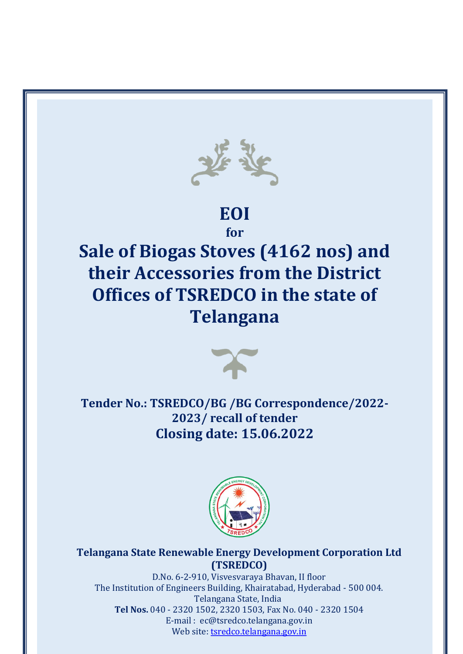

# **EOI**

**for**

# **Sale of Biogas Stoves (4162 nos) and their Accessories from the District Offices of TSREDCO in the state of Telangana**



**Tender No.: TSREDCO/BG /BG Correspondence/2022- 2023/ recall of tender Closing date: 15.06.2022**



**Telangana State Renewable Energy Development Corporation Ltd (TSREDCO)**

Tel Nos. 040 - 2320 1502, 2320 1503, Fax No. 040 - 2320 1504 D.No. 6-2-910, Visvesvaraya Bhavan, II floor The Institution of Engineers Building, Khairatabad, Hyderabad - 500 004. Telangana State, India E-mail : ec@tsredco.telangana.gov.in Web site: tsredco.telangana.gov.in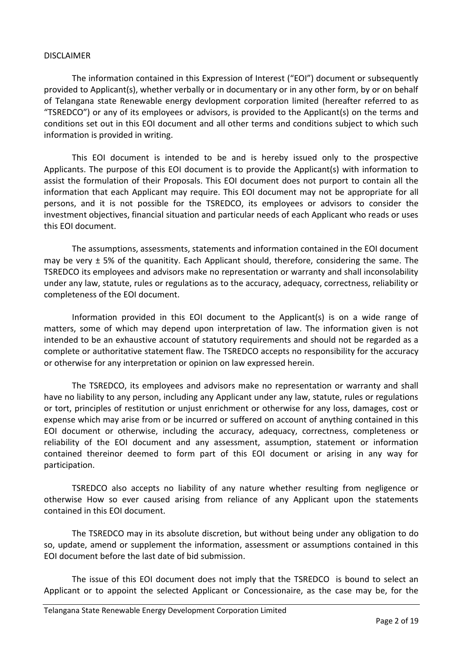#### DISCLAIMER

The information contained in this Expression of Interest ("EOI") document or subsequently provided to Applicant(s), whether verbally or in documentary or in any other form, by or on behalf of Telangana state Renewable energy devlopment corporation limited (hereafter referred to as "TSREDCO") or any of its employees or advisors, is provided to the Applicant(s) on the terms and conditions set out in this EOI document and all other terms and conditions subject to which such information is provided in writing.

This EOI document is intended to be and is hereby issued only to the prospective Applicants. The purpose of this EOI document is to provide the Applicant(s) with information to assist the formulation of their Proposals. This EOI document does not purport to contain all the information that each Applicant may require. This EOI document may not be appropriate for all persons, and it is not possible for the TSREDCO, its employees or advisors to consider the investment objectives, financial situation and particular needs of each Applicant who reads or uses this EOI document.

The assumptions, assessments, statements and information contained in the EOI document may be very  $\pm$  5% of the quanitity. Each Applicant should, therefore, considering the same. The TSREDCO its employees and advisors make no representation or warranty and shall inconsolability under any law, statute, rules or regulations as to the accuracy, adequacy, correctness, reliability or completeness of the EOI document.

Information provided in this EOI document to the Applicant(s) is on a wide range of matters, some of which may depend upon interpretation of law. The information given is not intended to be an exhaustive account of statutory requirements and should not be regarded as a complete or authoritative statement flaw. The TSREDCO accepts no responsibility for the accuracy or otherwise for any interpretation or opinion on law expressed herein.

The TSREDCO, its employees and advisors make no representation or warranty and shall have no liability to any person, including any Applicant under any law, statute, rules or regulations or tort, principles of restitution or unjust enrichment or otherwise for any loss, damages, cost or expense which may arise from or be incurred or suffered on account of anything contained in this EOI document or otherwise, including the accuracy, adequacy, correctness, completeness or reliability of the EOI document and any assessment, assumption, statement or information contained thereinor deemed to form part of this EOI document or arising in any way for participation.

TSREDCO also accepts no liability of any nature whether resulting from negligence or otherwise How so ever caused arising from reliance of any Applicant upon the statements contained in this EOI document.

The TSREDCO may in its absolute discretion, but without being under any obligation to do so, update, amend or supplement the information, assessment or assumptions contained in this EOI document before the last date of bid submission.

The issue of this EOI document does not imply that the TSREDCO is bound to select an Applicant or to appoint the selected Applicant or Concessionaire, as the case may be, for the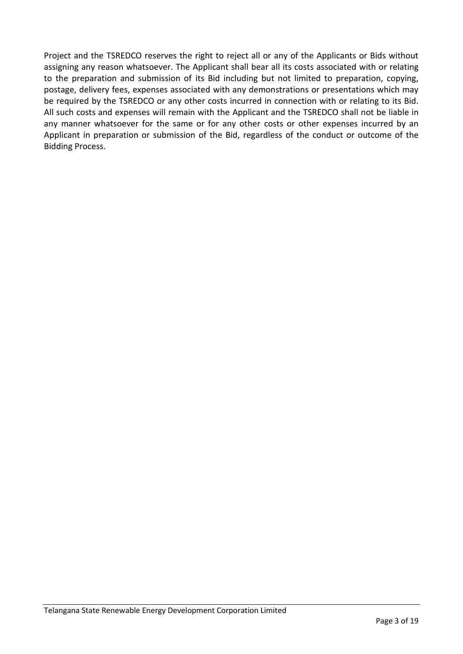Project and the TSREDCO reserves the right to reject all or any of the Applicants or Bids without assigning any reason whatsoever. The Applicant shall bear all its costs associated with or relating to the preparation and submission of its Bid including but not limited to preparation, copying, postage, delivery fees, expenses associated with any demonstrations or presentations which may be required by the TSREDCO or any other costs incurred in connection with or relating to its Bid. All such costs and expenses will remain with the Applicant and the TSREDCO shall not be liable in any manner whatsoever for the same or for any other costs or other expenses incurred by an Applicant in preparation or submission of the Bid, regardless of the conduct or outcome of the Bidding Process.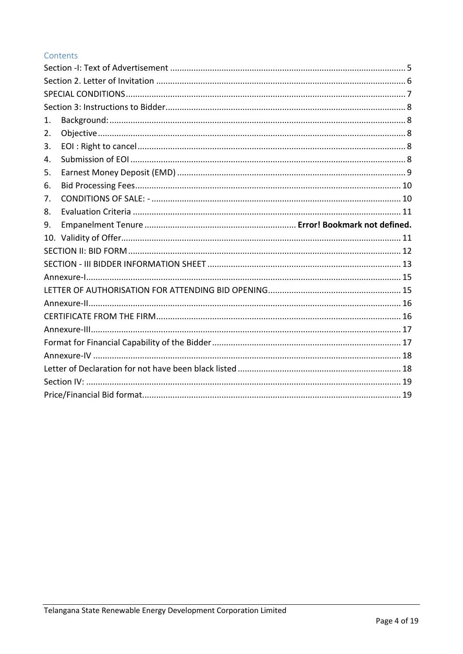## Contents

| 1. |  |  |  |  |
|----|--|--|--|--|
| 2. |  |  |  |  |
| 3. |  |  |  |  |
| 4. |  |  |  |  |
| 5. |  |  |  |  |
| 6. |  |  |  |  |
| 7. |  |  |  |  |
| 8. |  |  |  |  |
| 9. |  |  |  |  |
|    |  |  |  |  |
|    |  |  |  |  |
|    |  |  |  |  |
|    |  |  |  |  |
|    |  |  |  |  |
|    |  |  |  |  |
|    |  |  |  |  |
|    |  |  |  |  |
|    |  |  |  |  |
|    |  |  |  |  |
|    |  |  |  |  |
|    |  |  |  |  |
|    |  |  |  |  |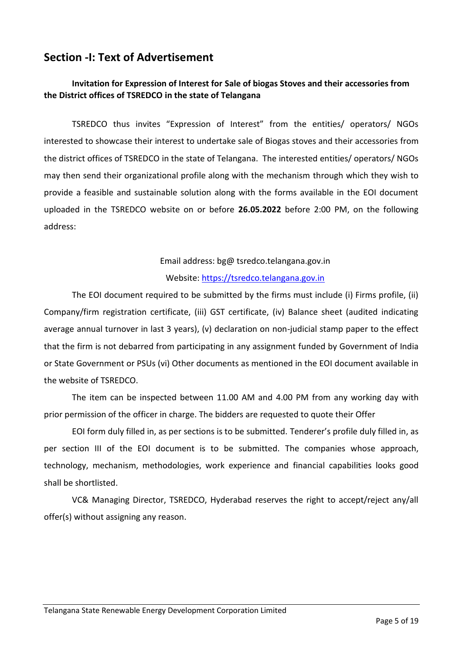## <span id="page-4-0"></span>**Section -I: Text of Advertisement**

## **Invitation for Expression of Interest for Sale of biogas Stoves and their accessories from the District offices of TSREDCO in the state of Telangana**

TSREDCO thus invites "Expression of Interest" from the entities/ operators/ NGOs interested to showcase their interest to undertake sale of Biogas stoves and their accessories from the district offices of TSREDCO in the state of Telangana. The interested entities/ operators/ NGOs may then send their organizational profile along with the mechanism through which they wish to provide a feasible and sustainable solution along with the forms available in the EOI document uploaded in the TSREDCO website on or before **26.05.2022** before 2:00 PM, on the following address:

## Email address: bg@ tsredco.telangana.gov.in

#### Website: [https://tsredco.telangana.gov.in](https://tsredco.telangana.gov.in/)

The EOI document required to be submitted by the firms must include (i) Firms profile, (ii) Company/firm registration certificate, (iii) GST certificate, (iv) Balance sheet (audited indicating average annual turnover in last 3 years), (v) declaration on non-judicial stamp paper to the effect that the firm is not debarred from participating in any assignment funded by Government of India or State Government or PSUs (vi) Other documents as mentioned in the EOI document available in the website of TSREDCO.

The item can be inspected between 11.00 AM and 4.00 PM from any working day with prior permission of the officer in charge. The bidders are requested to quote their Offer

EOI form duly filled in, as per sections is to be submitted. Tenderer's profile duly filled in, as per section III of the EOI document is to be submitted. The companies whose approach, technology, mechanism, methodologies, work experience and financial capabilities looks good shall be shortlisted.

VC& Managing Director, TSREDCO, Hyderabad reserves the right to accept/reject any/all offer(s) without assigning any reason.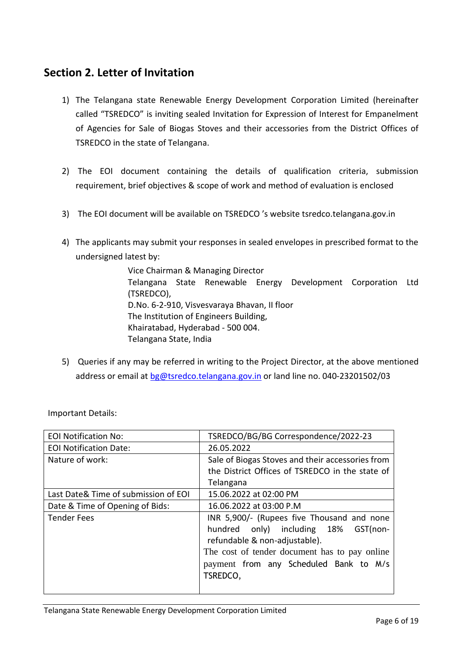## <span id="page-5-0"></span>**Section 2. Letter of Invitation**

- 1) The Telangana state Renewable Energy Development Corporation Limited (hereinafter called "TSREDCO" is inviting sealed Invitation for Expression of Interest for Empanelment of Agencies for Sale of Biogas Stoves and their accessories from the District Offices of TSREDCO in the state of Telangana.
- 2) The EOI document containing the details of qualification criteria, submission requirement, brief objectives & scope of work and method of evaluation is enclosed
- 3) The EOI document will be available on TSREDCO 's website tsredco.telangana.gov.in
- 4) The applicants may submit your responses in sealed envelopes in prescribed format to the undersigned latest by:

Vice Chairman & Managing Director Telangana State Renewable Energy Development Corporation Ltd (TSREDCO), D.No. 6-2-910, Visvesvaraya Bhavan, II floor The Institution of Engineers Building, Khairatabad, Hyderabad - 500 004. Telangana State, India

5) Queries if any may be referred in writing to the Project Director, at the above mentioned address or email at [bg@tsredco.telangana.gov.in](mailto:bg@tsredco.telangana.gov.in) or land line no. 040-23201502/03

| <b>EOI Notification No:</b>          | TSREDCO/BG/BG Correspondence/2022-23             |  |  |
|--------------------------------------|--------------------------------------------------|--|--|
| <b>EOI Notification Date:</b>        | 26.05.2022                                       |  |  |
| Nature of work:                      | Sale of Biogas Stoves and their accessories from |  |  |
|                                      | the District Offices of TSREDCO in the state of  |  |  |
|                                      | Telangana                                        |  |  |
| Last Date& Time of submission of EOI | 15.06.2022 at 02:00 PM                           |  |  |
| Date & Time of Opening of Bids:      | 16.06.2022 at 03:00 P.M                          |  |  |
| <b>Tender Fees</b>                   | INR 5,900/- (Rupees five Thousand and none       |  |  |
|                                      | hundred only) including 18%<br>GST(non-          |  |  |
|                                      | refundable & non-adjustable).                    |  |  |
|                                      | The cost of tender document has to pay online    |  |  |
|                                      | payment from any Scheduled Bank to M/s           |  |  |
|                                      | TSREDCO,                                         |  |  |
|                                      |                                                  |  |  |

Important Details: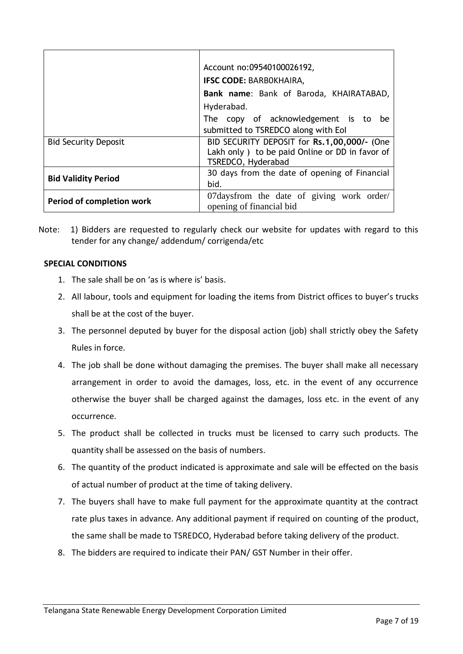|                             | Account no:09540100026192,                                                                                           |  |  |
|-----------------------------|----------------------------------------------------------------------------------------------------------------------|--|--|
|                             | <b>IFSC CODE: BARBOKHAIRA,</b>                                                                                       |  |  |
|                             | Bank name: Bank of Baroda, KHAIRATABAD,                                                                              |  |  |
|                             | Hyderabad.                                                                                                           |  |  |
|                             | The copy of acknowledgement is to be                                                                                 |  |  |
|                             | submitted to TSREDCO along with Eol                                                                                  |  |  |
| <b>Bid Security Deposit</b> | BID SECURITY DEPOSIT for Rs.1,00,000/- (One<br>Lakh only ) to be paid Online or DD in favor of<br>TSREDCO, Hyderabad |  |  |
| <b>Bid Validity Period</b>  | 30 days from the date of opening of Financial<br>bid.                                                                |  |  |
| Period of completion work   | 07daysfrom the date of giving work order/<br>opening of financial bid                                                |  |  |

Note: 1) Bidders are requested to regularly check our website for updates with regard to this tender for any change/ addendum/ corrigenda/etc

#### <span id="page-6-0"></span>**SPECIAL CONDITIONS**

- 1. The sale shall be on 'as is where is' basis.
- 2. All labour, tools and equipment for loading the items from District offices to buyer's trucks shall be at the cost of the buyer.
- 3. The personnel deputed by buyer for the disposal action (job) shall strictly obey the Safety Rules in force.
- 4. The job shall be done without damaging the premises. The buyer shall make all necessary arrangement in order to avoid the damages, loss, etc. in the event of any occurrence otherwise the buyer shall be charged against the damages, loss etc. in the event of any occurrence.
- 5. The product shall be collected in trucks must be licensed to carry such products. The quantity shall be assessed on the basis of numbers.
- 6. The quantity of the product indicated is approximate and sale will be effected on the basis of actual number of product at the time of taking delivery.
- 7. The buyers shall have to make full payment for the approximate quantity at the contract rate plus taxes in advance. Any additional payment if required on counting of the product, the same shall be made to TSREDCO, Hyderabad before taking delivery of the product.
- 8. The bidders are required to indicate their PAN/ GST Number in their offer.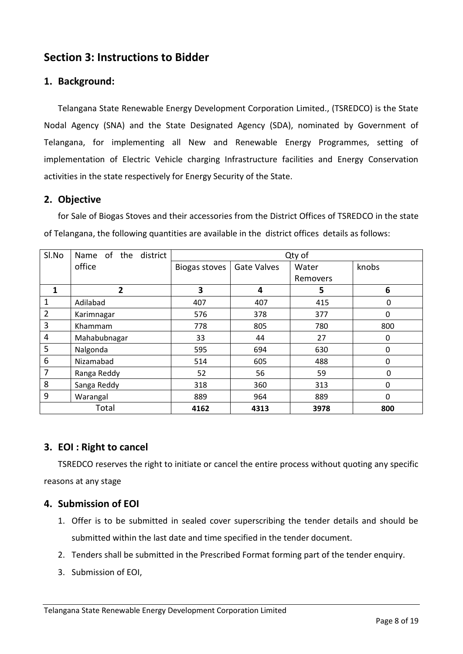## <span id="page-7-0"></span>**Section 3: Instructions to Bidder**

## <span id="page-7-1"></span>**1. Background:**

Telangana State Renewable Energy Development Corporation Limited., (TSREDCO) is the State Nodal Agency (SNA) and the State Designated Agency (SDA), nominated by Government of Telangana, for implementing all New and Renewable Energy Programmes, setting of implementation of Electric Vehicle charging Infrastructure facilities and Energy Conservation activities in the state respectively for Energy Security of the State.

## <span id="page-7-2"></span>**2. Objective**

for Sale of Biogas Stoves and their accessories from the District Offices of TSREDCO in the state of Telangana, the following quantities are available in the district offices details as follows:

| Sl.No | Name of the district | Qty of        |                    |          |       |
|-------|----------------------|---------------|--------------------|----------|-------|
|       | office               | Biogas stoves | <b>Gate Valves</b> | Water    | knobs |
|       |                      |               |                    | Removers |       |
| 1     | $\mathbf{2}$         | 3             | 4                  | 5        | 6     |
| 1     | Adilabad             | 407           | 407                | 415      | 0     |
| 2     | Karimnagar           | 576           | 378                | 377      | 0     |
| 3     | Khammam              | 778           | 805                | 780      | 800   |
| 4     | Mahabubnagar         | 33            | 44                 | 27       | 0     |
| 5     | Nalgonda             | 595           | 694                | 630      | 0     |
| 6     | Nizamabad            | 514           | 605                | 488      | 0     |
| 7     | Ranga Reddy          | 52            | 56                 | 59       | 0     |
| 8     | Sanga Reddy          | 318           | 360                | 313      | 0     |
| 9     | Warangal             | 889           | 964                | 889      | 0     |
|       | Total                | 4162          | 4313               | 3978     | 800   |

## <span id="page-7-3"></span>**3. EOI : Right to cancel**

TSREDCO reserves the right to initiate or cancel the entire process without quoting any specific reasons at any stage

## <span id="page-7-4"></span>**4. Submission of EOI**

- 1. Offer is to be submitted in sealed cover superscribing the tender details and should be submitted within the last date and time specified in the tender document.
- 2. Tenders shall be submitted in the Prescribed Format forming part of the tender enquiry.
- 3. Submission of EOI,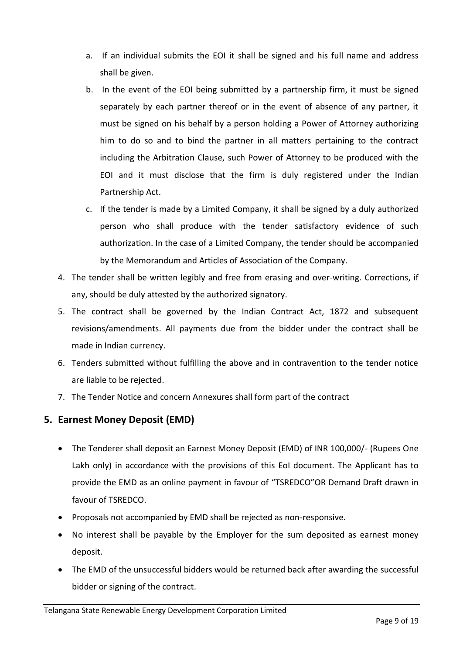- a. If an individual submits the EOI it shall be signed and his full name and address shall be given.
- b. In the event of the EOI being submitted by a partnership firm, it must be signed separately by each partner thereof or in the event of absence of any partner, it must be signed on his behalf by a person holding a Power of Attorney authorizing him to do so and to bind the partner in all matters pertaining to the contract including the Arbitration Clause, such Power of Attorney to be produced with the EOI and it must disclose that the firm is duly registered under the Indian Partnership Act.
- c. If the tender is made by a Limited Company, it shall be signed by a duly authorized person who shall produce with the tender satisfactory evidence of such authorization. In the case of a Limited Company, the tender should be accompanied by the Memorandum and Articles of Association of the Company.
- 4. The tender shall be written legibly and free from erasing and over-writing. Corrections, if any, should be duly attested by the authorized signatory.
- 5. The contract shall be governed by the Indian Contract Act, 1872 and subsequent revisions/amendments. All payments due from the bidder under the contract shall be made in Indian currency.
- 6. Tenders submitted without fulfilling the above and in contravention to the tender notice are liable to be rejected.
- 7. The Tender Notice and concern Annexures shall form part of the contract

## <span id="page-8-0"></span>**5. Earnest Money Deposit (EMD)**

- The Tenderer shall deposit an Earnest Money Deposit (EMD) of INR 100,000/- (Rupees One Lakh only) in accordance with the provisions of this EoI document. The Applicant has to provide the EMD as an online payment in favour of "TSREDCO"OR Demand Draft drawn in favour of TSREDCO.
- Proposals not accompanied by EMD shall be rejected as non-responsive.
- No interest shall be payable by the Employer for the sum deposited as earnest money deposit.
- The EMD of the unsuccessful bidders would be returned back after awarding the successful bidder or signing of the contract.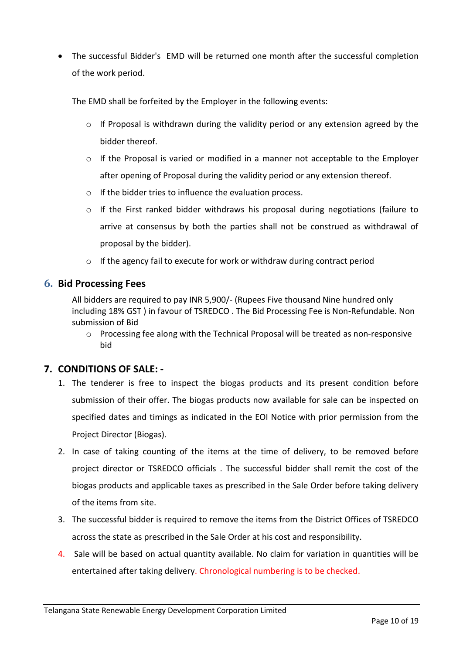• The successful Bidder's EMD will be returned one month after the successful completion of the work period.

The EMD shall be forfeited by the Employer in the following events:

- $\circ$  If Proposal is withdrawn during the validity period or any extension agreed by the bidder thereof.
- $\circ$  If the Proposal is varied or modified in a manner not acceptable to the Employer after opening of Proposal during the validity period or any extension thereof.
- o If the bidder tries to influence the evaluation process.
- $\circ$  If the First ranked bidder withdraws his proposal during negotiations (failure to arrive at consensus by both the parties shall not be construed as withdrawal of proposal by the bidder).
- o If the agency fail to execute for work or withdraw during contract period

## <span id="page-9-0"></span>**6. Bid Processing Fees**

All bidders are required to pay INR 5,900/- (Rupees Five thousand Nine hundred only including 18% GST ) in favour of TSREDCO . The Bid Processing Fee is Non-Refundable. Non submission of Bid

o Processing fee along with the Technical Proposal will be treated as non-responsive bid

## <span id="page-9-1"></span>**7. CONDITIONS OF SALE: -**

- 1. The tenderer is free to inspect the biogas products and its present condition before submission of their offer. The biogas products now available for sale can be inspected on specified dates and timings as indicated in the EOI Notice with prior permission from the Project Director (Biogas).
- 2. In case of taking counting of the items at the time of delivery, to be removed before project director or TSREDCO officials . The successful bidder shall remit the cost of the biogas products and applicable taxes as prescribed in the Sale Order before taking delivery of the items from site.
- 3. The successful bidder is required to remove the items from the District Offices of TSREDCO across the state as prescribed in the Sale Order at his cost and responsibility.
- 4. Sale will be based on actual quantity available. No claim for variation in quantities will be entertained after taking delivery. Chronological numbering is to be checked.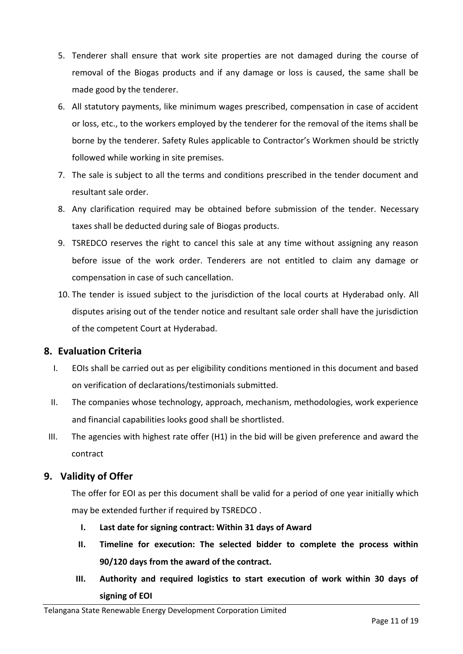- 5. Tenderer shall ensure that work site properties are not damaged during the course of removal of the Biogas products and if any damage or loss is caused, the same shall be made good by the tenderer.
- 6. All statutory payments, like minimum wages prescribed, compensation in case of accident or loss, etc., to the workers employed by the tenderer for the removal of the items shall be borne by the tenderer. Safety Rules applicable to Contractor's Workmen should be strictly followed while working in site premises.
- 7. The sale is subject to all the terms and conditions prescribed in the tender document and resultant sale order.
- 8. Any clarification required may be obtained before submission of the tender. Necessary taxes shall be deducted during sale of Biogas products.
- 9. TSREDCO reserves the right to cancel this sale at any time without assigning any reason before issue of the work order. Tenderers are not entitled to claim any damage or compensation in case of such cancellation.
- 10. The tender is issued subject to the jurisdiction of the local courts at Hyderabad only. All disputes arising out of the tender notice and resultant sale order shall have the jurisdiction of the competent Court at Hyderabad.

## <span id="page-10-0"></span>**8. Evaluation Criteria**

- I. EOIs shall be carried out as per eligibility conditions mentioned in this document and based on verification of declarations/testimonials submitted.
- II. The companies whose technology, approach, mechanism, methodologies, work experience and financial capabilities looks good shall be shortlisted.
- III. The agencies with highest rate offer (H1) in the bid will be given preference and award the contract

## <span id="page-10-1"></span>**9. Validity of Offer**

The offer for EOI as per this document shall be valid for a period of one year initially which may be extended further if required by TSREDCO .

- **I. Last date for signing contract: Within 31 days of Award**
- **II. Timeline for execution: The selected bidder to complete the process within 90/120 days from the award of the contract.**
- **III. Authority and required logistics to start execution of work within 30 days of signing of EOI**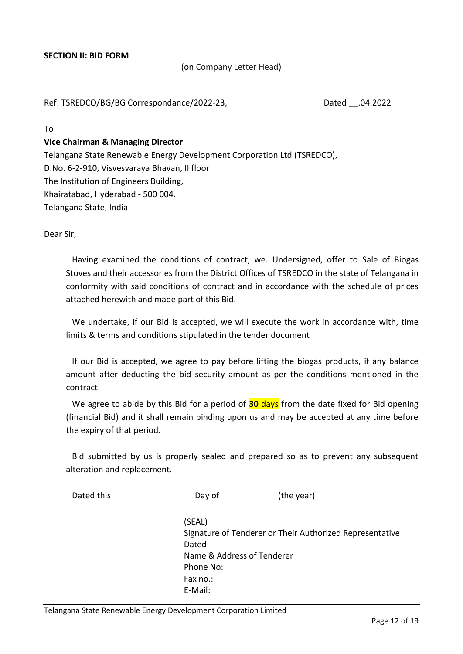#### <span id="page-11-0"></span>**SECTION II: BID FORM**

(on Company Letter Head)

Ref: TSREDCO/BG/BG Correspondance/2022-23, Dated .04.2022

To

#### **Vice Chairman & Managing Director**

Telangana State Renewable Energy Development Corporation Ltd (TSREDCO), D.No. 6-2-910, Visvesvaraya Bhavan, II floor The Institution of Engineers Building, Khairatabad, Hyderabad - 500 004. Telangana State, India

Dear Sir,

Having examined the conditions of contract, we. Undersigned, offer to Sale of Biogas Stoves and their accessories from the District Offices of TSREDCO in the state of Telangana in conformity with said conditions of contract and in accordance with the schedule of prices attached herewith and made part of this Bid.

We undertake, if our Bid is accepted, we will execute the work in accordance with, time limits & terms and conditions stipulated in the tender document

If our Bid is accepted, we agree to pay before lifting the biogas products, if any balance amount after deducting the bid security amount as per the conditions mentioned in the contract.

We agree to abide by this Bid for a period of **30** days from the date fixed for Bid opening (financial Bid) and it shall remain binding upon us and may be accepted at any time before the expiry of that period.

Bid submitted by us is properly sealed and prepared so as to prevent any subsequent alteration and replacement.

| Dated this | Day of                     | (the year)                                               |
|------------|----------------------------|----------------------------------------------------------|
|            | (SEAL)                     |                                                          |
|            |                            | Signature of Tenderer or Their Authorized Representative |
|            | Dated                      |                                                          |
|            | Name & Address of Tenderer |                                                          |
|            | Phone No:                  |                                                          |
|            | Fax no.:                   |                                                          |
|            | E-Mail:                    |                                                          |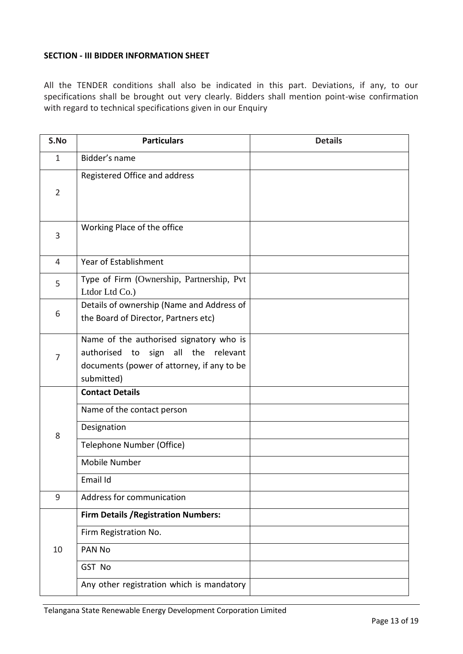#### <span id="page-12-0"></span>**SECTION - III BIDDER INFORMATION SHEET**

All the TENDER conditions shall also be indicated in this part. Deviations, if any, to our specifications shall be brought out very clearly. Bidders shall mention point-wise confirmation with regard to technical specifications given in our Enquiry

| S.No           | <b>Particulars</b>                                                                                                                         | <b>Details</b> |
|----------------|--------------------------------------------------------------------------------------------------------------------------------------------|----------------|
| $\mathbf{1}$   | Bidder's name                                                                                                                              |                |
| $\overline{2}$ | Registered Office and address                                                                                                              |                |
| 3              | Working Place of the office                                                                                                                |                |
| 4              | Year of Establishment                                                                                                                      |                |
| 5              | Type of Firm (Ownership, Partnership, Pvt<br>Ltdor Ltd Co.)                                                                                |                |
| 6              | Details of ownership (Name and Address of<br>the Board of Director, Partners etc)                                                          |                |
| 7              | Name of the authorised signatory who is<br>authorised to sign all the relevant<br>documents (power of attorney, if any to be<br>submitted) |                |
|                | <b>Contact Details</b>                                                                                                                     |                |
|                | Name of the contact person                                                                                                                 |                |
| 8              | Designation                                                                                                                                |                |
|                | Telephone Number (Office)                                                                                                                  |                |
|                | Mobile Number                                                                                                                              |                |
|                | Email Id                                                                                                                                   |                |
| 9              | Address for communication                                                                                                                  |                |
|                | <b>Firm Details / Registration Numbers:</b>                                                                                                |                |
|                | Firm Registration No.                                                                                                                      |                |
| 10             | PAN No                                                                                                                                     |                |
|                | GST No                                                                                                                                     |                |
|                | Any other registration which is mandatory                                                                                                  |                |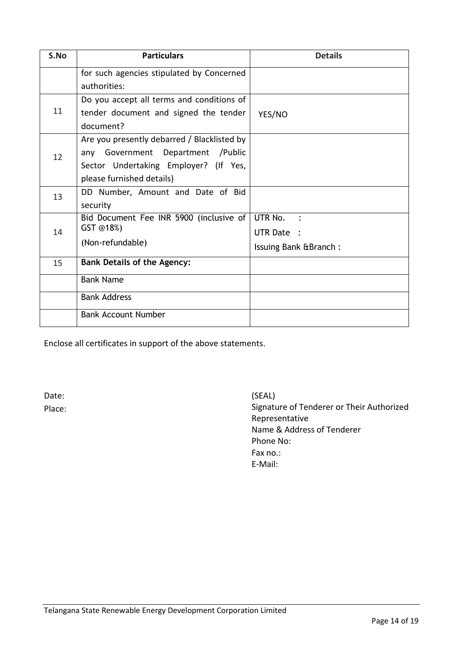| S.No | <b>Particulars</b>                                   | <b>Details</b>           |
|------|------------------------------------------------------|--------------------------|
|      | for such agencies stipulated by Concerned            |                          |
|      | authorities:                                         |                          |
|      | Do you accept all terms and conditions of            |                          |
| 11   | tender document and signed the tender                | YES/NO                   |
|      | document?                                            |                          |
|      | Are you presently debarred / Blacklisted by          |                          |
| 12   | any Government Department / Public                   |                          |
|      | Sector Undertaking Employer? (If Yes,                |                          |
|      | please furnished details)                            |                          |
| 13   | DD Number, Amount and Date of Bid                    |                          |
|      | security                                             |                          |
|      | Bid Document Fee INR 5900 (inclusive of<br>GST @18%) | UTR No.<br>$\sim$ $\sim$ |
| 14   |                                                      | UTR Date :               |
|      | (Non-refundable)                                     | Issuing Bank & Branch:   |
| 15   | <b>Bank Details of the Agency:</b>                   |                          |
|      | <b>Bank Name</b>                                     |                          |
|      | <b>Bank Address</b>                                  |                          |
|      | <b>Bank Account Number</b>                           |                          |

Enclose all certificates in support of the above statements.

Date: Place: (SEAL) Signature of Tenderer or Their Authorized Representative Name & Address of Tenderer Phone No: Fax no.: E-Mail: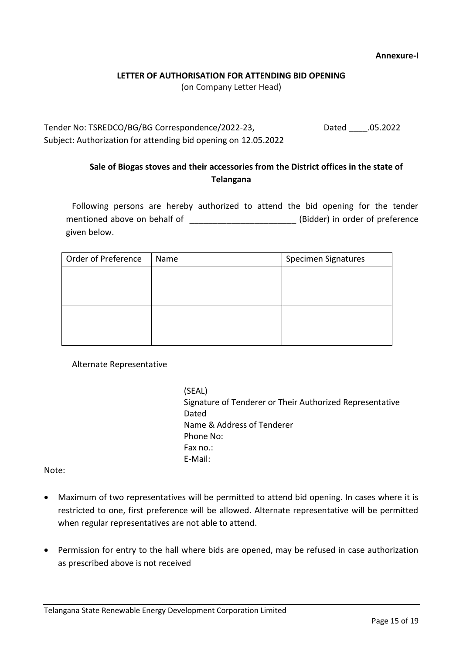#### **Annexure-I**

#### **LETTER OF AUTHORISATION FOR ATTENDING BID OPENING**

(on Company Letter Head)

<span id="page-14-1"></span><span id="page-14-0"></span>Tender No: TSREDCO/BG/BG Correspondence/2022-23, Dated \_\_\_\_.05.2022 Subject: Authorization for attending bid opening on 12.05.2022

## **Sale of Biogas stoves and their accessories from the District offices in the state of Telangana**

Following persons are hereby authorized to attend the bid opening for the tender mentioned above on behalf of **EXALC 2008** (Bidder) in order of preference given below.

| Order of Preference | Name | Specimen Signatures |
|---------------------|------|---------------------|
|                     |      |                     |
|                     |      |                     |
|                     |      |                     |
|                     |      |                     |
|                     |      |                     |
|                     |      |                     |

Alternate Representative

(SEAL) Signature of Tenderer or Their Authorized Representative Dated Name & Address of Tenderer Phone No: Fax no.: E-Mail:

Note:

- Maximum of two representatives will be permitted to attend bid opening. In cases where it is restricted to one, first preference will be allowed. Alternate representative will be permitted when regular representatives are not able to attend.
- Permission for entry to the hall where bids are opened, may be refused in case authorization as prescribed above is not received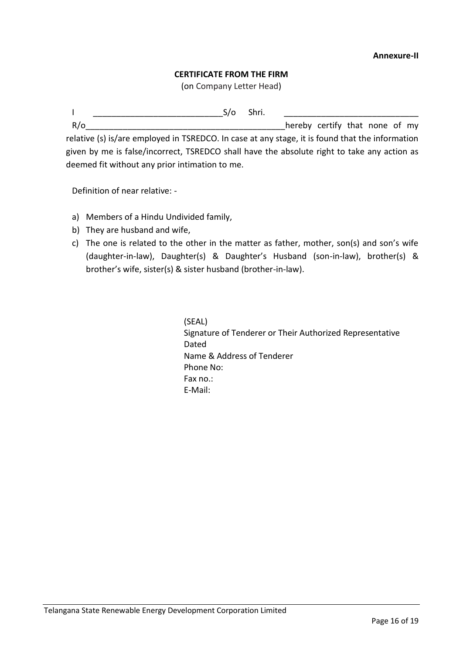#### **CERTIFICATE FROM THE FIRM**

(on Company Letter Head)

<span id="page-15-1"></span><span id="page-15-0"></span> $\mathsf{I}$   $\mathsf{S}/\mathsf{o}$  Shri.

R/o **R** and the control of the control of the control of the control of the control of my relative (s) is/are employed in TSREDCO. In case at any stage, it is found that the information given by me is false/incorrect, TSREDCO shall have the absolute right to take any action as deemed fit without any prior intimation to me.

Definition of near relative: -

- a) Members of a Hindu Undivided family,
- b) They are husband and wife,
- c) The one is related to the other in the matter as father, mother, son(s) and son's wife (daughter-in-law), Daughter(s) & Daughter's Husband (son-in-law), brother(s) & brother's wife, sister(s) & sister husband (brother-in-law).

(SEAL) Signature of Tenderer or Their Authorized Representative Dated Name & Address of Tenderer Phone No: Fax no.: E-Mail: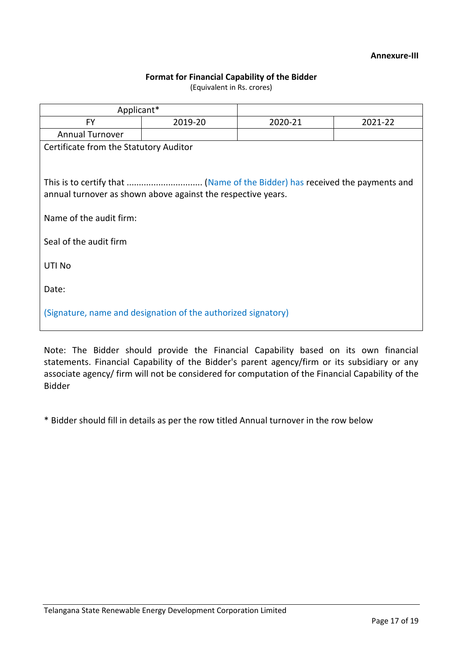#### **Annexure-III**

#### **Format for Financial Capability of the Bidder**

(Equivalent in Rs. crores)

<span id="page-16-1"></span><span id="page-16-0"></span>

| Applicant*                                                                              |                                        |         |         |  |  |
|-----------------------------------------------------------------------------------------|----------------------------------------|---------|---------|--|--|
| <b>FY</b>                                                                               | 2019-20                                | 2020-21 | 2021-22 |  |  |
| <b>Annual Turnover</b>                                                                  |                                        |         |         |  |  |
|                                                                                         | Certificate from the Statutory Auditor |         |         |  |  |
| annual turnover as shown above against the respective years.<br>Name of the audit firm: |                                        |         |         |  |  |
| Seal of the audit firm                                                                  |                                        |         |         |  |  |
| UTI No                                                                                  |                                        |         |         |  |  |
| Date:                                                                                   |                                        |         |         |  |  |
| (Signature, name and designation of the authorized signatory)                           |                                        |         |         |  |  |

Note: The Bidder should provide the Financial Capability based on its own financial statements. Financial Capability of the Bidder's parent agency/firm or its subsidiary or any associate agency/ firm will not be considered for computation of the Financial Capability of the Bidder

\* Bidder should fill in details as per the row titled Annual turnover in the row below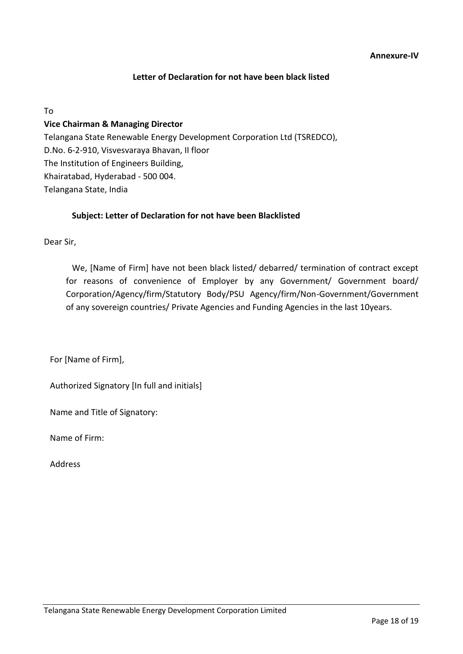## **Letter of Declaration for not have been black listed**

<span id="page-17-1"></span><span id="page-17-0"></span>To

## **Vice Chairman & Managing Director**

Telangana State Renewable Energy Development Corporation Ltd (TSREDCO), D.No. 6-2-910, Visvesvaraya Bhavan, II floor The Institution of Engineers Building, Khairatabad, Hyderabad - 500 004. Telangana State, India

#### **Subject: Letter of Declaration for not have been Blacklisted**

Dear Sir,

We, [Name of Firm] have not been black listed/ debarred/ termination of contract except for reasons of convenience of Employer by any Government/ Government board/ Corporation/Agency/firm/Statutory Body/PSU Agency/firm/Non-Government/Government of any sovereign countries/ Private Agencies and Funding Agencies in the last 10years.

For [Name of Firm],

Authorized Signatory [In full and initials]

Name and Title of Signatory:

Name of Firm:

Address